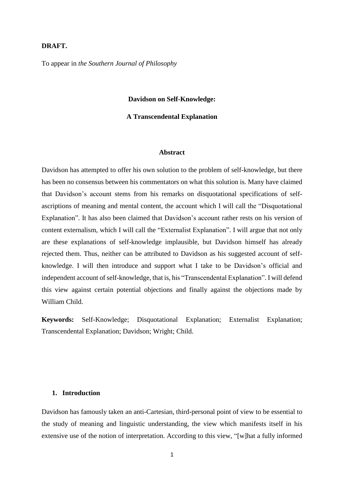# **DRAFT.**

To appear in *the Southern Journal of Philosophy*

#### **Davidson on Self-Knowledge:**

### **A Transcendental Explanation**

# **Abstract**

Davidson has attempted to offer his own solution to the problem of self-knowledge, but there has been no consensus between his commentators on what this solution is. Many have claimed that Davidson's account stems from his remarks on disquotational specifications of selfascriptions of meaning and mental content, the account which I will call the "Disquotational Explanation". It has also been claimed that Davidson's account rather rests on his version of content externalism, which I will call the "Externalist Explanation". I will argue that not only are these explanations of self-knowledge implausible, but Davidson himself has already rejected them. Thus, neither can be attributed to Davidson as his suggested account of selfknowledge. I will then introduce and support what I take to be Davidson's official and independent account of self-knowledge, that is, his "Transcendental Explanation". I will defend this view against certain potential objections and finally against the objections made by William Child.

**Keywords:** Self-Knowledge; Disquotational Explanation; Externalist Explanation; Transcendental Explanation; Davidson; Wright; Child.

# **1. Introduction**

Davidson has famously taken an anti-Cartesian, third-personal point of view to be essential to the study of meaning and linguistic understanding, the view which manifests itself in his extensive use of the notion of interpretation. According to this view, "[w]hat a fully informed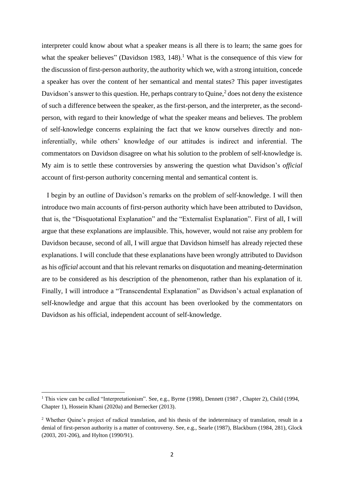interpreter could know about what a speaker means is all there is to learn; the same goes for what the speaker believes" (Davidson 1983, 148).<sup>1</sup> What is the consequence of this view for the discussion of first-person authority, the authority which we, with a strong intuition, concede a speaker has over the content of her semantical and mental states? This paper investigates Davidson's answer to this question. He, perhaps contrary to Quine, $<sup>2</sup>$  does not deny the existence</sup> of such a difference between the speaker, as the first-person, and the interpreter, as the secondperson, with regard to their knowledge of what the speaker means and believes. The problem of self-knowledge concerns explaining the fact that we know ourselves directly and noninferentially, while others' knowledge of our attitudes is indirect and inferential. The commentators on Davidson disagree on what his solution to the problem of self-knowledge is. My aim is to settle these controversies by answering the question what Davidson's *official* account of first-person authority concerning mental and semantical content is.

 I begin by an outline of Davidson's remarks on the problem of self-knowledge. I will then introduce two main accounts of first-person authority which have been attributed to Davidson, that is, the "Disquotational Explanation" and the "Externalist Explanation". First of all, I will argue that these explanations are implausible. This, however, would not raise any problem for Davidson because, second of all, I will argue that Davidson himself has already rejected these explanations. I will conclude that these explanations have been wrongly attributed to Davidson as his *official* account and that his relevant remarks on disquotation and meaning-determination are to be considered as his description of the phenomenon, rather than his explanation of it. Finally, I will introduce a "Transcendental Explanation" as Davidson's actual explanation of self-knowledge and argue that this account has been overlooked by the commentators on Davidson as his official, independent account of self-knowledge.

<sup>&</sup>lt;sup>1</sup> This view can be called "Interpretationism". See, e.g., Byrne (1998), Dennett (1987, Chapter 2), Child (1994, Chapter 1), Hossein Khani (2020a) and Bernecker (2013).

<sup>&</sup>lt;sup>2</sup> Whether Quine's project of radical translation, and his thesis of the indeterminacy of translation, result in a denial of first-person authority is a matter of controversy. See, e.g., Searle (1987), Blackburn (1984, 281), Glock (2003, 201-206), and Hylton (1990/91).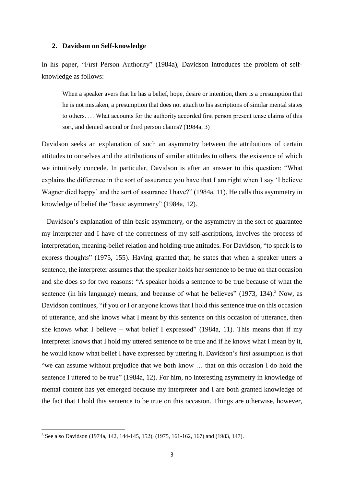## **2. Davidson on Self-knowledge**

In his paper, "First Person Authority" (1984a), Davidson introduces the problem of selfknowledge as follows:

When a speaker avers that he has a belief, hope, desire or intention, there is a presumption that he is not mistaken, a presumption that does not attach to his ascriptions of similar mental states to others. … What accounts for the authority accorded first person present tense claims of this sort, and denied second or third person claims? (1984a, 3)

Davidson seeks an explanation of such an asymmetry between the attributions of certain attitudes to ourselves and the attributions of similar attitudes to others, the existence of which we intuitively concede. In particular, Davidson is after an answer to this question: "What explains the difference in the sort of assurance you have that I am right when I say 'I believe Wagner died happy' and the sort of assurance I have?" (1984a, 11). He calls this asymmetry in knowledge of belief the "basic asymmetry" (1984a, 12).

 Davidson's explanation of thin basic asymmetry, or the asymmetry in the sort of guarantee my interpreter and I have of the correctness of my self-ascriptions, involves the process of interpretation, meaning-belief relation and holding-true attitudes. For Davidson, "to speak is to express thoughts" (1975, 155). Having granted that, he states that when a speaker utters a sentence, the interpreter assumes that the speaker holds her sentence to be true on that occasion and she does so for two reasons: "A speaker holds a sentence to be true because of what the sentence (in his language) means, and because of what he believes" (1973, 134).<sup>3</sup> Now, as Davidson continues, "if you or I or anyone knows that I hold this sentence true on this occasion of utterance, and she knows what I meant by this sentence on this occasion of utterance, then she knows what I believe – what belief I expressed" (1984a, 11). This means that if my interpreter knows that I hold my uttered sentence to be true and if he knows what I mean by it, he would know what belief I have expressed by uttering it. Davidson's first assumption is that "we can assume without prejudice that we both know … that on this occasion I do hold the sentence I uttered to be true" (1984a, 12). For him, no interesting asymmetry in knowledge of mental content has yet emerged because my interpreter and I are both granted knowledge of the fact that I hold this sentence to be true on this occasion. Things are otherwise, however,

<sup>3</sup> See also Davidson (1974a, 142, 144-145, 152), (1975, 161-162, 167) and (1983, 147).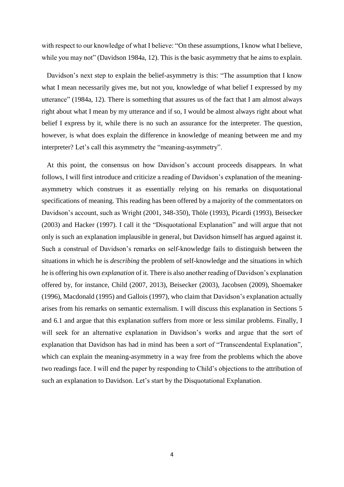with respect to our knowledge of what I believe: "On these assumptions, I know what I believe, while you may not" (Davidson 1984a, 12). This is the basic asymmetry that he aims to explain.

 Davidson's next step to explain the belief-asymmetry is this: "The assumption that I know what I mean necessarily gives me, but not you, knowledge of what belief I expressed by my utterance" (1984a, 12). There is something that assures us of the fact that I am almost always right about what I mean by my utterance and if so, I would be almost always right about what belief I express by it, while there is no such an assurance for the interpreter. The question, however, is what does explain the difference in knowledge of meaning between me and my interpreter? Let's call this asymmetry the "meaning-asymmetry".

 At this point, the consensus on how Davidson's account proceeds disappears. In what follows, I will first introduce and criticize a reading of Davidson's explanation of the meaningasymmetry which construes it as essentially relying on his remarks on disquotational specifications of meaning. This reading has been offered by a majority of the commentators on Davidson's account, such as Wright (2001, 348-350), Thöle (1993), Picardi (1993), Beisecker (2003) and Hacker (1997). I call it the "Disquotational Explanation" and will argue that not only is such an explanation implausible in general, but Davidson himself has argued against it. Such a construal of Davidson's remarks on self-knowledge fails to distinguish between the situations in which he is *describing* the problem of self-knowledge and the situations in which he is offering his own *explanation* of it. There is also another reading of Davidson's explanation offered by, for instance, Child (2007, 2013), Beisecker (2003), Jacobsen (2009), Shoemaker (1996), Macdonald (1995) and Gallois (1997), who claim that Davidson's explanation actually arises from his remarks on semantic externalism. I will discuss this explanation in Sections 5 and 6.1 and argue that this explanation suffers from more or less similar problems. Finally, I will seek for an alternative explanation in Davidson's works and argue that the sort of explanation that Davidson has had in mind has been a sort of "Transcendental Explanation", which can explain the meaning-asymmetry in a way free from the problems which the above two readings face. I will end the paper by responding to Child's objections to the attribution of such an explanation to Davidson. Let's start by the Disquotational Explanation.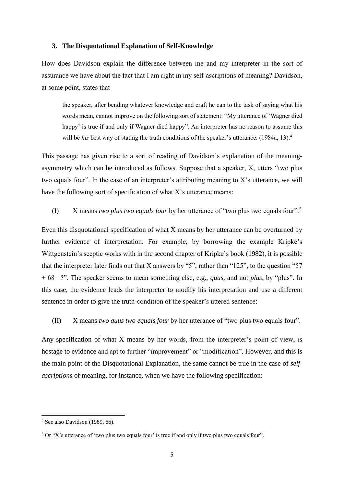# **3. The Disquotational Explanation of Self-Knowledge**

How does Davidson explain the difference between me and my interpreter in the sort of assurance we have about the fact that I am right in my self-ascriptions of meaning? Davidson, at some point, states that

the speaker, after bending whatever knowledge and craft he can to the task of saying what his words mean, cannot improve on the following sort of statement: "My utterance of 'Wagner died happy' is true if and only if Wagner died happy". An interpreter has no reason to assume this will be *his* best way of stating the truth conditions of the speaker's utterance. (1984a, 13).<sup>4</sup>

This passage has given rise to a sort of reading of Davidson's explanation of the meaningasymmetry which can be introduced as follows. Suppose that a speaker, X, utters "two plus two equals four". In the case of an interpreter's attributing meaning to X's utterance, we will have the following sort of specification of what  $X$ 's utterance means:

# (I) X means *two plus two equals four* by her utterance of "two plus two equals four".<sup>5</sup>

Even this disquotational specification of what X means by her utterance can be overturned by further evidence of interpretation. For example, by borrowing the example Kripke's Wittgenstein's sceptic works with in the second chapter of Kripke's book (1982), it is possible that the interpreter later finds out that X answers by "5", rather than "125", to the question "57 + 68 =?". The speaker seems to mean something else, e.g., *quus*, and not *plus*, by "plus". In this case, the evidence leads the interpreter to modify his interpretation and use a different sentence in order to give the truth-condition of the speaker's uttered sentence:

(II) X means *two quus two equals four* by her utterance of "two plus two equals four".

Any specification of what X means by her words, from the interpreter's point of view, is hostage to evidence and apt to further "improvement" or "modification". However, and this is the main point of the Disquotational Explanation, the same cannot be true in the case of *selfascriptions* of meaning, for instance, when we have the following specification:

 $\overline{a}$ 

<sup>4</sup> See also Davidson (1989, 66).

 $5$  Or "X's utterance of 'two plus two equals four' is true if and only if two plus two equals four".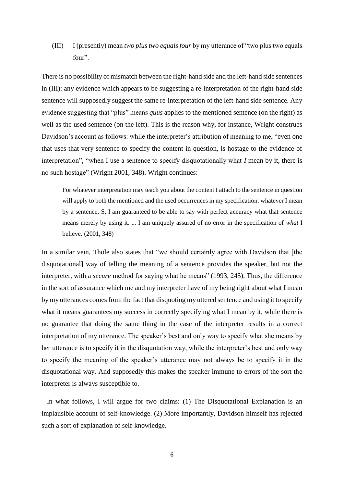(III) I (presently) mean *two plus two equals four* by my utterance of "two plus two equals four".

There is no possibility of mismatch between the right-hand side and the left-hand side sentences in (III): any evidence which appears to be suggesting a re-interpretation of the right-hand side sentence will supposedly suggest the same re-interpretation of the left-hand side sentence. Any evidence suggesting that "plus" means *quus* applies to the mentioned sentence (on the right) as well as the used sentence (on the left). This is the reason why, for instance, Wright construes Davidson's account as follows: while the interpreter's attribution of meaning to me, "even one that uses that very sentence to specify the content in question, is hostage to the evidence of interpretation", "when I use a sentence to specify disquotationally what *I* mean by it, there is no such hostage" (Wright 2001, 348). Wright continues:

For whatever interpretation may teach you about the content I attach to the sentence in question will apply to both the mentioned and the used occurrences in my specification: whatever I mean by a sentence, S, I am guaranteed to be able to say with perfect accuracy what that sentence means merely by using it. ... I am uniquely assured of no error in the specification of *what* I believe. (2001, 348)

In a similar vein, Thöle also states that "we should certainly agree with Davidson that [the disquotational] way of telling the meaning of a sentence provides the speaker, but not the interpreter, with a *secure* method for saying what he means" (1993, 245). Thus, the difference in the sort of assurance which me and my interpreter have of my being right about what I mean by my utterances comes from the fact that disquoting my uttered sentence and using it to specify what it means guarantees my success in correctly specifying what I mean by it, while there is no guarantee that doing the same thing in the case of the interpreter results in a correct interpretation of my utterance. The speaker's best and only way to specify what she means by her utterance is to specify it in the disquotation way, while the interpreter's best and only way to specify the meaning of the speaker's utterance may not always be to specify it in the disquotational way. And supposedly this makes the speaker immune to errors of the sort the interpreter is always susceptible to.

 In what follows, I will argue for two claims: (1) The Disquotational Explanation is an implausible account of self-knowledge. (2) More importantly, Davidson himself has rejected such a sort of explanation of self-knowledge.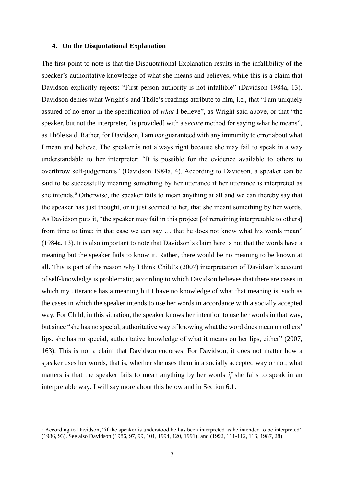## **4. On the Disquotational Explanation**

The first point to note is that the Disquotational Explanation results in the infallibility of the speaker's authoritative knowledge of what she means and believes, while this is a claim that Davidson explicitly rejects: "First person authority is not infallible" (Davidson 1984a, 13). Davidson denies what Wright's and Thöle's readings attribute to him, i.e., that "I am uniquely assured of no error in the specification of *what* I believe", as Wright said above, or that "the speaker, but not the interpreter, [is provided] with a *secure* method for saying what he means", as Thöle said. Rather, for Davidson, I am *not* guaranteed with any immunity to error about what I mean and believe. The speaker is not always right because she may fail to speak in a way understandable to her interpreter: "It is possible for the evidence available to others to overthrow self-judgements" (Davidson 1984a, 4). According to Davidson, a speaker can be said to be successfully meaning something by her utterance if her utterance is interpreted as she intends.<sup>6</sup> Otherwise, the speaker fails to mean anything at all and we can thereby say that the speaker has just thought, or it just seemed to her, that she meant something by her words. As Davidson puts it, "the speaker may fail in this project [of remaining interpretable to others] from time to time; in that case we can say … that he does not know what his words mean" (1984a, 13). It is also important to note that Davidson's claim here is not that the words have a meaning but the speaker fails to know it. Rather, there would be no meaning to be known at all. This is part of the reason why I think Child's (2007) interpretation of Davidson's account of self-knowledge is problematic, according to which Davidson believes that there are cases in which my utterance has a meaning but I have no knowledge of what that meaning is, such as the cases in which the speaker intends to use her words in accordance with a socially accepted way. For Child, in this situation, the speaker knows her intention to use her words in that way, but since "she has no special, authoritative way of knowing what the word does mean on others' lips, she has no special, authoritative knowledge of what it means on her lips, either" (2007, 163). This is not a claim that Davidson endorses. For Davidson, it does not matter how a speaker uses her words, that is, whether she uses them in a socially accepted way or not; what matters is that the speaker fails to mean anything by her words *if* she fails to speak in an interpretable way. I will say more about this below and in Section 6.1.

1

<sup>&</sup>lt;sup>6</sup> According to Davidson, "if the speaker is understood he has been interpreted as he intended to be interpreted" (1986, 93). See also Davidson (1986, 97, 99, 101, 1994, 120, 1991), and (1992, 111-112, 116, 1987, 28).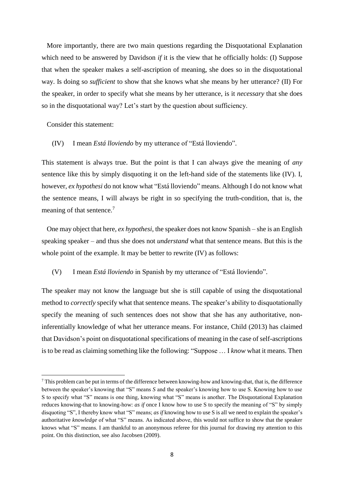More importantly, there are two main questions regarding the Disquotational Explanation which need to be answered by Davidson *if* it is the view that he officially holds: (I) Suppose that when the speaker makes a self-ascription of meaning, she does so in the disquotational way. Is doing so *sufficient* to show that she knows what she means by her utterance? (II) For the speaker, in order to specify what she means by her utterance, is it *necessary* that she does so in the disquotational way? Let's start by the question about sufficiency.

Consider this statement:

 $\overline{a}$ 

(IV) I mean *Está lloviendo* by my utterance of "Está lloviendo".

This statement is always true. But the point is that I can always give the meaning of *any* sentence like this by simply disquoting it on the left-hand side of the statements like (IV). I, however, *ex hypothesi* do not know what "Está lloviendo" means. Although I do not know what the sentence means, I will always be right in so specifying the truth-condition, that is, the meaning of that sentence.<sup>7</sup>

 One may object that here, *ex hypothesi*, the speaker does not know Spanish – she is an English speaking speaker – and thus she does not *understand* what that sentence means. But this is the whole point of the example. It may be better to rewrite (IV) as follows:

# (V) I mean *Está lloviendo* in Spanish by my utterance of "Está lloviendo".

The speaker may not know the language but she is still capable of using the disquotational method to *correctly* specify what that sentence means. The speaker's ability to disquotationally specify the meaning of such sentences does not show that she has any authoritative, noninferentially knowledge of what her utterance means. For instance, Child (2013) has claimed that Davidson's point on disquotational specifications of meaning in the case of self-ascriptions is to be read as claiming something like the following: "Suppose … I *know* what it means. Then

 $^7$  This problem can be put in terms of the difference between knowing-how and knowing-that, that is, the difference between the speaker's knowing that "S" means *S* and the speaker's knowing how to use S. Knowing how to use S to specify what "S" means is one thing, knowing what "S" means is another. The Disquotational Explanation reduces knowing-that to knowing-how: *as if* once I know how to use S to specify the meaning of "S" by simply disquoting "S", I thereby know what "S" means; *as if* knowing how to use S is all we need to explain the speaker's authoritative *knowledge* of what "S" means. As indicated above, this would not suffice to show that the speaker knows what "S" means. I am thankful to an anonymous referee for this journal for drawing my attention to this point. On this distinction, see also Jacobsen (2009).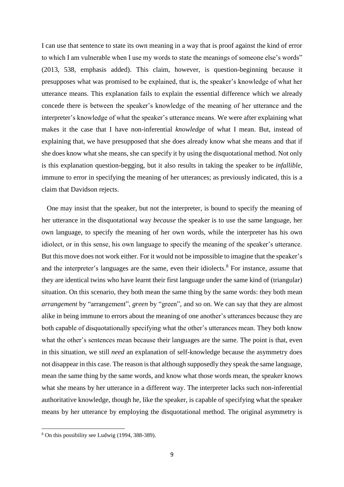I can use that sentence to state its own meaning in a way that is proof against the kind of error to which I am vulnerable when I use my words to state the meanings of someone else's words" (2013, 538, emphasis added). This claim, however, is question-beginning because it presupposes what was promised to be explained, that is, the speaker's knowledge of what her utterance means. This explanation fails to explain the essential difference which we already concede there is between the speaker's knowledge of the meaning of her utterance and the interpreter's knowledge of what the speaker's utterance means. We were after explaining what makes it the case that I have non-inferential *knowledge* of what I mean. But, instead of explaining that, we have presupposed that she does already know what she means and that if she does know what she means, she can specify it by using the disquotational method. Not only is this explanation question-begging, but it also results in taking the speaker to be *infallible*, immune to error in specifying the meaning of her utterances; as previously indicated, this is a claim that Davidson rejects.

 One may insist that the speaker, but not the interpreter, is bound to specify the meaning of her utterance in the disquotational way *because* the speaker is to use the same language, her own language, to specify the meaning of her own words, while the interpreter has his own idiolect, or in this sense, his own language to specify the meaning of the speaker's utterance. But this move does not work either. For it would not be impossible to imagine that the speaker's and the interpreter's languages are the same, even their idiolects.<sup>8</sup> For instance, assume that they are identical twins who have learnt their first language under the same kind of (triangular) situation. On this scenario, they both mean the same thing by the same words: they both mean *arrangement* by "arrangement", *green* by "green", and so on. We can say that they are almost alike in being immune to errors about the meaning of one another's utterances because they are both capable of disquotationally specifying what the other's utterances mean. They both know what the other's sentences mean because their languages are the same. The point is that, even in this situation, we still *need* an explanation of self-knowledge because the asymmetry does not disappear in this case. The reason is that although supposedly they speak the same language, mean the same thing by the same words, and know what those words mean, the speaker knows what she means by her utterance in a different way. The interpreter lacks such non-inferential authoritative knowledge, though he, like the speaker, is capable of specifying what the speaker means by her utterance by employing the disquotational method. The original asymmetry is

<sup>8</sup> On this possibility see Ludwig (1994, 388-389).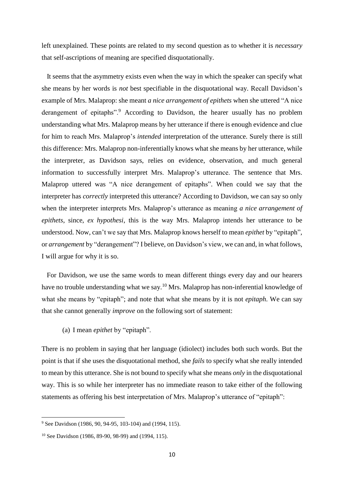left unexplained. These points are related to my second question as to whether it is *necessary* that self-ascriptions of meaning are specified disquotationally.

 It seems that the asymmetry exists even when the way in which the speaker can specify what she means by her words is *not* best specifiable in the disquotational way. Recall Davidson's example of Mrs. Malaprop: she meant *a nice arrangement of epithets* when she uttered "A nice derangement of epitaphs".<sup>9</sup> According to Davidson, the hearer usually has no problem understanding what Mrs. Malaprop means by her utterance if there is enough evidence and clue for him to reach Mrs. Malaprop's *intended* interpretation of the utterance. Surely there is still this difference: Mrs. Malaprop non-inferentially knows what she means by her utterance, while the interpreter, as Davidson says, relies on evidence, observation, and much general information to successfully interpret Mrs. Malaprop's utterance. The sentence that Mrs. Malaprop uttered was "A nice derangement of epitaphs". When could we say that the interpreter has *correctly* interpreted this utterance? According to Davidson, we can say so only when the interpreter interprets Mrs. Malaprop's utterance as meaning *a nice arrangement of epithets*, since, *ex hypothesi*, this is the way Mrs. Malaprop intends her utterance to be understood. Now, can't we say that Mrs. Malaprop knows herself to mean *epithet* by "epitaph", or *arrangement* by "derangement"? I believe, on Davidson's view, we can and, in what follows, I will argue for why it is so.

 For Davidson, we use the same words to mean different things every day and our hearers have no trouble understanding what we say.<sup>10</sup> Mrs. Malaprop has non-inferential knowledge of what she means by "epitaph"; and note that what she means by it is not *epitaph*. We can say that she cannot generally *improve* on the following sort of statement:

(a) I mean *epithet* by "epitaph".

There is no problem in saying that her language (idiolect) includes both such words. But the point is that if she uses the disquotational method, she *fails* to specify what she really intended to mean by this utterance. She is not bound to specify what she means *only* in the disquotational way. This is so while her interpreter has no immediate reason to take either of the following statements as offering his best interpretation of Mrs. Malaprop's utterance of "epitaph":

<sup>9</sup> See Davidson (1986, 90, 94-95, 103-104) and (1994, 115).

<sup>10</sup> See Davidson (1986, 89-90, 98-99) and (1994, 115).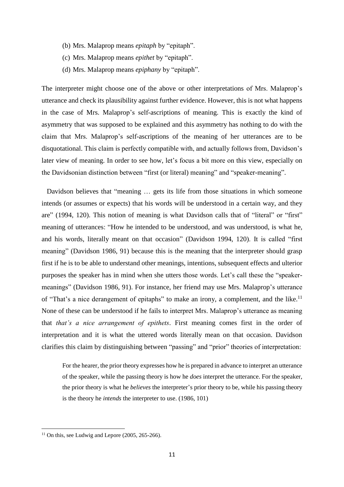- (b) Mrs. Malaprop means *epitaph* by "epitaph".
- (c) Mrs. Malaprop means *epithet* by "epitaph".
- (d) Mrs. Malaprop means *epiphany* by "epitaph".

The interpreter might choose one of the above or other interpretations of Mrs. Malaprop's utterance and check its plausibility against further evidence. However, this is not what happens in the case of Mrs. Malaprop's self-ascriptions of meaning. This is exactly the kind of asymmetry that was supposed to be explained and this asymmetry has nothing to do with the claim that Mrs. Malaprop's self-ascriptions of the meaning of her utterances are to be disquotational. This claim is perfectly compatible with, and actually follows from, Davidson's later view of meaning. In order to see how, let's focus a bit more on this view, especially on the Davidsonian distinction between "first (or literal) meaning" and "speaker-meaning".

 Davidson believes that "meaning … gets its life from those situations in which someone intends (or assumes or expects) that his words will be understood in a certain way, and they are" (1994, 120). This notion of meaning is what Davidson calls that of "literal" or "first" meaning of utterances: "How he intended to be understood, and was understood, is what he, and his words, literally meant on that occasion" (Davidson 1994, 120). It is called "first meaning" (Davidson 1986, 91) because this is the meaning that the interpreter should grasp first if he is to be able to understand other meanings, intentions, subsequent effects and ulterior purposes the speaker has in mind when she utters those words. Let's call these the "speakermeanings" (Davidson 1986, 91). For instance, her friend may use Mrs. Malaprop's utterance of "That's a nice derangement of epitaphs" to make an irony, a complement, and the like.<sup>11</sup> None of these can be understood if he fails to interpret Mrs. Malaprop's utterance as meaning that *that's a nice arrangement of epithets*. First meaning comes first in the order of interpretation and it is what the uttered words literally mean on that occasion. Davidson clarifies this claim by distinguishing between "passing" and "prior" theories of interpretation:

For the hearer, the prior theory expresses how he is prepared in advance to interpret an utterance of the speaker, while the passing theory is how he *does* interpret the utterance. For the speaker, the prior theory is what he *believes* the interpreter's prior theory to be, while his passing theory is the theory he *intends* the interpreter to use. (1986, 101)

<sup>&</sup>lt;sup>11</sup> On this, see Ludwig and Lepore  $(2005, 265-266)$ .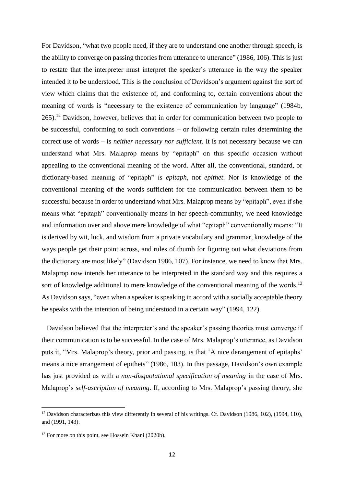For Davidson, "what two people need, if they are to understand one another through speech, is the ability to converge on passing theories from utterance to utterance" (1986, 106). This is just to restate that the interpreter must interpret the speaker's utterance in the way the speaker intended it to be understood. This is the conclusion of Davidson's argument against the sort of view which claims that the existence of, and conforming to, certain conventions about the meaning of words is "necessary to the existence of communication by language" (1984b,  $265$ ).<sup>12</sup> Davidson, however, believes that in order for communication between two people to be successful, conforming to such conventions – or following certain rules determining the correct use of words – is *neither necessary nor sufficient*. It is not necessary because we can understand what Mrs. Malaprop means by "epitaph" on this specific occasion without appealing to the conventional meaning of the word. After all, the conventional, standard, or dictionary-based meaning of "epitaph" is *epitaph*, not *epithet*. Nor is knowledge of the conventional meaning of the words sufficient for the communication between them to be successful because in order to understand what Mrs. Malaprop means by "epitaph", even if she means what "epitaph" conventionally means in her speech-community, we need knowledge and information over and above mere knowledge of what "epitaph" conventionally means: "It is derived by wit, luck, and wisdom from a private vocabulary and grammar, knowledge of the ways people get their point across, and rules of thumb for figuring out what deviations from the dictionary are most likely" (Davidson 1986, 107). For instance, we need to know that Mrs. Malaprop now intends her utterance to be interpreted in the standard way and this requires a sort of knowledge additional to mere knowledge of the conventional meaning of the words.<sup>13</sup> As Davidson says, "even when a speaker is speaking in accord with a socially acceptable theory he speaks with the intention of being understood in a certain way" (1994, 122).

 Davidson believed that the interpreter's and the speaker's passing theories must converge if their communication is to be successful. In the case of Mrs. Malaprop's utterance, as Davidson puts it, "Mrs. Malaprop's theory, prior and passing, is that 'A nice derangement of epitaphs' means a nice arrangement of epithets" (1986, 103). In this passage, Davidson's own example has just provided us with a *non-disquotational specification of meaning* in the case of Mrs. Malaprop's *self-ascription of meaning*. If, according to Mrs. Malaprop's passing theory, she

1

<sup>&</sup>lt;sup>12</sup> Davidson characterizes this view differently in several of his writings. Cf. Davidson (1986, 102), (1994, 110), and (1991, 143).

<sup>&</sup>lt;sup>13</sup> For more on this point, see Hossein Khani (2020b).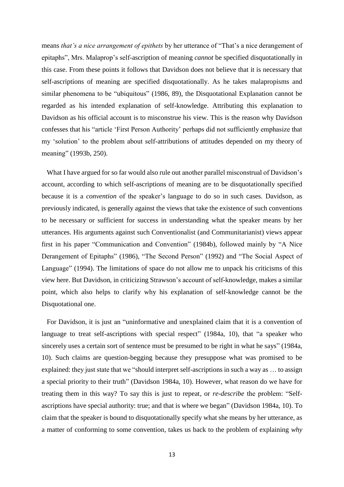means *that's a nice arrangement of epithets* by her utterance of "That's a nice derangement of epitaphs", Mrs. Malaprop's self-ascription of meaning *cannot* be specified disquotationally in this case. From these points it follows that Davidson does not believe that it is necessary that self-ascriptions of meaning are specified disquotationally. As he takes malapropisms and similar phenomena to be "ubiquitous" (1986, 89), the Disquotational Explanation cannot be regarded as his intended explanation of self-knowledge. Attributing this explanation to Davidson as his official account is to misconstrue his view. This is the reason why Davidson confesses that his "article 'First Person Authority' perhaps did not sufficiently emphasize that my 'solution' to the problem about self-attributions of attitudes depended on my theory of meaning" (1993b, 250).

 What I have argued for so far would also rule out another parallel misconstrual of Davidson's account, according to which self-ascriptions of meaning are to be disquotationally specified because it is a *convention* of the speaker's language to do so in such cases. Davidson, as previously indicated, is generally against the views that take the existence of such conventions to be necessary or sufficient for success in understanding what the speaker means by her utterances. His arguments against such Conventionalist (and Communitarianist) views appear first in his paper "Communication and Convention" (1984b), followed mainly by "A Nice Derangement of Epitaphs" (1986), "The Second Person" (1992) and "The Social Aspect of Language" (1994). The limitations of space do not allow me to unpack his criticisms of this view here. But Davidson, in criticizing Strawson's account of self-knowledge, makes a similar point, which also helps to clarify why his explanation of self-knowledge cannot be the Disquotational one.

 For Davidson, it is just an "uninformative and unexplained claim that it is a convention of language to treat self-ascriptions with special respect" (1984a, 10), that "a speaker who sincerely uses a certain sort of sentence must be presumed to be right in what he says" (1984a, 10). Such claims are question-begging because they presuppose what was promised to be explained: they just state that we "should interpret self-ascriptions in such a way as … to assign a special priority to their truth" (Davidson 1984a, 10). However, what reason do we have for treating them in this way? To say this is just to repeat, or *re-describe* the problem: "Selfascriptions have special authority: true; and that is where we began" (Davidson 1984a, 10). To claim that the speaker is bound to disquotationally specify what she means by her utterance, as a matter of conforming to some convention, takes us back to the problem of explaining *why*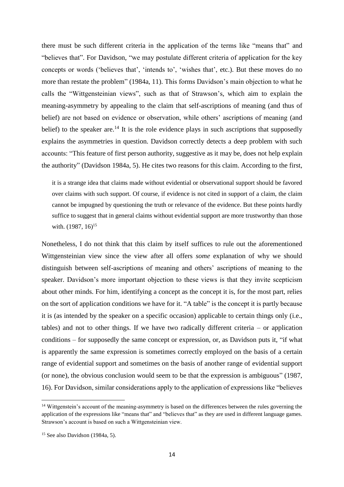there must be such different criteria in the application of the terms like "means that" and "believes that". For Davidson, "we may postulate different criteria of application for the key concepts or words ('believes that', 'intends to', 'wishes that', etc.). But these moves do no more than restate the problem" (1984a, 11). This forms Davidson's main objection to what he calls the "Wittgensteinian views", such as that of Strawson's, which aim to explain the meaning-asymmetry by appealing to the claim that self-ascriptions of meaning (and thus of belief) are not based on evidence or observation, while others' ascriptions of meaning (and belief) to the speaker are.<sup>14</sup> It is the role evidence plays in such ascriptions that supposedly explains the asymmetries in question. Davidson correctly detects a deep problem with such accounts: "This feature of first person authority, suggestive as it may be, does not help explain the authority" (Davidson 1984a, 5). He cites two reasons for this claim. According to the first,

it is a strange idea that claims made without evidential or observational support should be favored over claims with such support. Of course, if evidence is not cited in support of a claim, the claim cannot be impugned by questioning the truth or relevance of the evidence. But these points hardly suffice to suggest that in general claims without evidential support are more trustworthy than those with.  $(1987, 16)^{15}$ 

Nonetheless, I do not think that this claim by itself suffices to rule out the aforementioned Wittgensteinian view since the view after all offers *some* explanation of why we should distinguish between self-ascriptions of meaning and others' ascriptions of meaning to the speaker. Davidson's more important objection to these views is that they invite scepticism about other minds. For him, identifying a concept as the concept it is, for the most part, relies on the sort of application conditions we have for it. "A table" is the concept it is partly because it is (as intended by the speaker on a specific occasion) applicable to certain things only (i.e., tables) and not to other things. If we have two radically different criteria – or application conditions – for supposedly the same concept or expression, or, as Davidson puts it, "if what is apparently the same expression is sometimes correctly employed on the basis of a certain range of evidential support and sometimes on the basis of another range of evidential support (or none), the obvious conclusion would seem to be that the expression is ambiguous" (1987, 16). For Davidson, similar considerations apply to the application of expressions like "believes

<sup>&</sup>lt;sup>14</sup> Wittgenstein's account of the meaning-asymmetry is based on the differences between the rules governing the application of the expressions like "means that" and "believes that" as they are used in different language games. Strawson's account is based on such a Wittgensteinian view.

 $15$  See also Davidson (1984a, 5).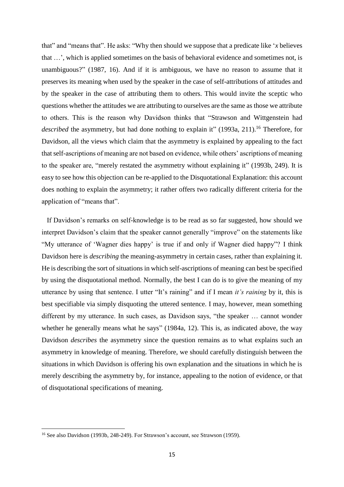that" and "means that". He asks: "Why then should we suppose that a predicate like '*x* believes that …', which is applied sometimes on the basis of behavioral evidence and sometimes not, is unambiguous?" (1987, 16). And if it is ambiguous, we have no reason to assume that it preserves its meaning when used by the speaker in the case of self-attributions of attitudes and by the speaker in the case of attributing them to others. This would invite the sceptic who questions whether the attitudes we are attributing to ourselves are the same as those we attribute to others. This is the reason why Davidson thinks that "Strawson and Wittgenstein had described the asymmetry, but had done nothing to explain it" (1993a, 211).<sup>16</sup> Therefore, for Davidson, all the views which claim that the asymmetry is explained by appealing to the fact that self-ascriptions of meaning are not based on evidence, while others' ascriptions of meaning to the speaker are, "merely restated the asymmetry without explaining it" (1993b, 249). It is easy to see how this objection can be re-applied to the Disquotational Explanation: this account does nothing to explain the asymmetry; it rather offers two radically different criteria for the application of "means that".

 If Davidson's remarks on self-knowledge is to be read as so far suggested, how should we interpret Davidson's claim that the speaker cannot generally "improve" on the statements like "My utterance of 'Wagner dies happy' is true if and only if Wagner died happy"? I think Davidson here is *describing* the meaning-asymmetry in certain cases, rather than explaining it. He is describing the sort of situations in which self-ascriptions of meaning can best be specified by using the disquotational method. Normally, the best I can do is to give the meaning of my utterance by using that sentence. I utter "It's raining" and if I mean *it's raining* by it, this is best specifiable via simply disquoting the uttered sentence. I may, however, mean something different by my utterance. In such cases, as Davidson says, "the speaker … cannot wonder whether he generally means what he says" (1984a, 12). This is, as indicated above, the way Davidson *describes* the asymmetry since the question remains as to what explains such an asymmetry in knowledge of meaning. Therefore, we should carefully distinguish between the situations in which Davidson is offering his own explanation and the situations in which he is merely describing the asymmetry by, for instance, appealing to the notion of evidence, or that of disquotational specifications of meaning.

<sup>16</sup> See also Davidson (1993b, 248-249). For Strawson's account, see Strawson (1959).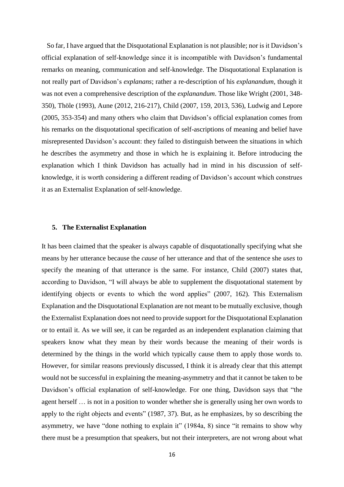So far, I have argued that the Disquotational Explanation is not plausible; nor is it Davidson's official explanation of self-knowledge since it is incompatible with Davidson's fundamental remarks on meaning, communication and self-knowledge. The Disquotational Explanation is not really part of Davidson's *explanans*; rather a re-description of his *explanandum,* though it was not even a comprehensive description of the *explanandum*. Those like Wright (2001, 348- 350), Thöle (1993), Aune (2012, 216-217), Child (2007, 159, 2013, 536), Ludwig and Lepore (2005, 353-354) and many others who claim that Davidson's official explanation comes from his remarks on the disquotational specification of self-ascriptions of meaning and belief have misrepresented Davidson's account: they failed to distinguish between the situations in which he describes the asymmetry and those in which he is explaining it. Before introducing the explanation which I think Davidson has actually had in mind in his discussion of selfknowledge, it is worth considering a different reading of Davidson's account which construes it as an Externalist Explanation of self-knowledge.

### **5. The Externalist Explanation**

It has been claimed that the speaker is always capable of disquotationally specifying what she means by her utterance because the *cause* of her utterance and that of the sentence she *uses* to specify the meaning of that utterance is the same. For instance, Child (2007) states that, according to Davidson, "I will always be able to supplement the disquotational statement by identifying objects or events to which the word applies" (2007, 162). This Externalism Explanation and the Disquotational Explanation are not meant to be mutually exclusive, though the Externalist Explanation does not need to provide support for the Disquotational Explanation or to entail it. As we will see, it can be regarded as an independent explanation claiming that speakers know what they mean by their words because the meaning of their words is determined by the things in the world which typically cause them to apply those words to. However, for similar reasons previously discussed, I think it is already clear that this attempt would not be successful in explaining the meaning-asymmetry and that it cannot be taken to be Davidson's official explanation of self-knowledge. For one thing, Davidson says that "the agent herself … is not in a position to wonder whether she is generally using her own words to apply to the right objects and events" (1987, 37). But, as he emphasizes, by so describing the asymmetry, we have "done nothing to explain it" (1984a, 8) since "it remains to show why there must be a presumption that speakers, but not their interpreters, are not wrong about what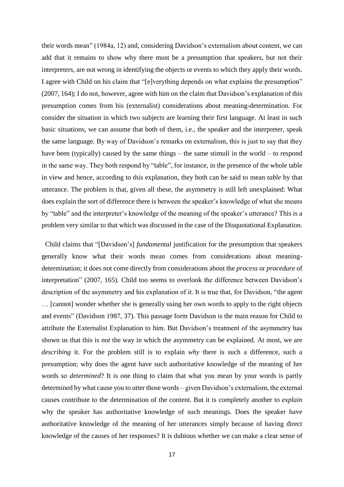their words mean" (1984a, 12) and, considering Davidson's externalism about content, we can add that it remains to show why there must be a presumption that speakers, but not their interpreters, are not wrong in identifying the objects or events to which they apply their words. I agree with Child on his claim that "[e]verything depends on what explains the presumption" (2007, 164); I do not, however, agree with him on the claim that Davidson's explanation of this presumption comes from his (externalist) considerations about meaning-determination. For consider the situation in which two subjects are learning their first language. At least in such basic situations, we can assume that both of them, i.e., the speaker and the interpreter, speak the same language. By way of Davidson's remarks on externalism, this is just to say that they have been (typically) caused by the same things – the same stimuli in the world – to respond in the same way. They both respond by "table", for instance, in the presence of the whole table in view and hence, according to this explanation, they both can be said to mean *table* by that utterance. The problem is that, given all these, the asymmetry is still left unexplained: What does explain the sort of difference there is between the speaker's knowledge of what she means by "table" and the interpreter's knowledge of the meaning of the speaker's utterance? This is a problem very similar to that which was discussed in the case of the Disquotational Explanation.

 Child claims that "[Davidson's] *fundamental* justification for the presumption that speakers generally know what their words mean comes from considerations about meaningdetermination; it does not come directly from considerations about the *process* or *procedure* of interpretation" (2007, 165). Child too seems to overlook the difference between Davidson's description of the asymmetry and his explanation of it. It is true that, for Davidson, "the agent … [cannot] wonder whether she is generally using her own words to apply to the right objects and events" (Davidson 1987, 37). This passage form Davidson is the main reason for Child to attribute the Externalist Explanation to him. But Davidson's treatment of the asymmetry has shown us that this is *not* the way in which the asymmetry can be explained. At most, we are *describing* it. For the problem still is to explain *why* there is such a difference, such a presumption; why does the agent have such authoritative knowledge of the meaning of her words *so determined*? It is one thing to claim that what you mean by your words is partly determined by what cause you to utter those words – given Davidson's externalism, the external causes contribute to the determination of the content. But it is completely another to *explain* why the speaker has authoritative knowledge of such meanings. Does the speaker have authoritative knowledge of the meaning of her utterances simply because of having direct knowledge of the causes of her responses? It is dubious whether we can make a clear sense of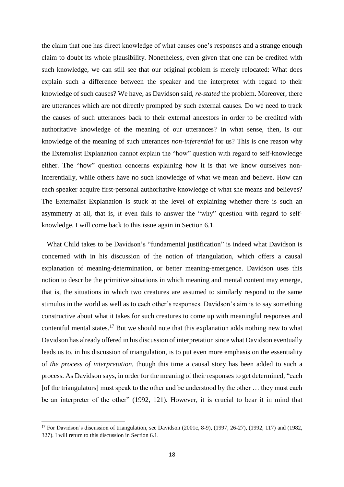the claim that one has direct knowledge of what causes one's responses and a strange enough claim to doubt its whole plausibility. Nonetheless, even given that one can be credited with such knowledge, we can still see that our original problem is merely relocated: What does explain such a difference between the speaker and the interpreter with regard to their knowledge of such causes? We have, as Davidson said, *re-stated* the problem. Moreover, there are utterances which are not directly prompted by such external causes. Do we need to track the causes of such utterances back to their external ancestors in order to be credited with authoritative knowledge of the meaning of our utterances? In what sense, then, is our knowledge of the meaning of such utterances *non-inferential* for us? This is one reason why the Externalist Explanation cannot explain the "how" question with regard to self-knowledge either. The "how" question concerns explaining *how* it is that we know ourselves noninferentially, while others have no such knowledge of what we mean and believe. How can each speaker acquire first-personal authoritative knowledge of what she means and believes? The Externalist Explanation is stuck at the level of explaining whether there is such an asymmetry at all, that is, it even fails to answer the "why" question with regard to selfknowledge. I will come back to this issue again in Section 6.1.

 What Child takes to be Davidson's "fundamental justification" is indeed what Davidson is concerned with in his discussion of the notion of triangulation, which offers a causal explanation of meaning-determination, or better meaning-emergence. Davidson uses this notion to describe the primitive situations in which meaning and mental content may emerge, that is, the situations in which two creatures are assumed to similarly respond to the same stimulus in the world as well as to each other's responses. Davidson's aim is to say something constructive about what it takes for such creatures to come up with meaningful responses and contentful mental states.<sup>17</sup> But we should note that this explanation adds nothing new to what Davidson has already offered in his discussion of interpretation since what Davidson eventually leads us to, in his discussion of triangulation, is to put even more emphasis on the essentiality of *the process of interpretation*, though this time a causal story has been added to such a process. As Davidson says, in order for the meaning of their responses to get determined, "each [of the triangulators] must speak to the other and be understood by the other ... they must each be an interpreter of the other" (1992, 121). However, it is crucial to bear it in mind that

1

<sup>&</sup>lt;sup>17</sup> For Davidson's discussion of triangulation, see Davidson (2001c, 8-9), (1997, 26-27), (1992, 117) and (1982, 327). I will return to this discussion in Section 6.1.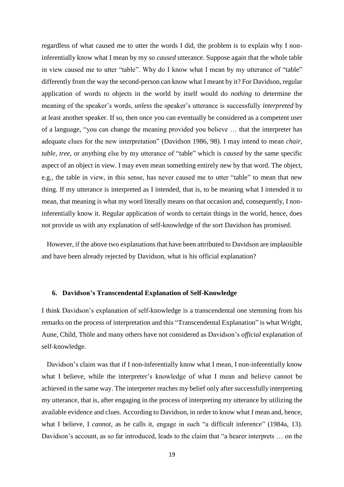regardless of what caused me to utter the words I did, the problem is to explain why I noninferentially know what I mean by my *so caused* utterance. Suppose again that the whole table in view caused me to utter "table". Why do I know what I mean by my utterance of "table" differently from the way the second-person can know what I meant by it? For Davidson, regular application of words to objects in the world by itself would do *nothing* to determine the meaning of the speaker's words, *unless* the speaker's utterance is successfully *interpreted* by at least another speaker. If so, then once you can eventually be considered as a competent user of a language, "you can change the meaning provided you believe … that the interpreter has adequate clues for the new interpretation" (Davidson 1986, 98). I may intend to mean *chair*, *table*, *tree*, or anything else by my utterance of "table" which is *caused* by the same specific aspect of an object in view. I may even mean something entirely new by that word. The object, e.g., the table in view, in this sense, has never caused me to utter "table" to mean that new thing. If my utterance is interpreted as I intended, that is, to be meaning what I intended it to mean, that meaning is what my word literally means on that occasion and, consequently, I noninferentially know it. Regular application of words to certain things in the world, hence, does not provide us with any explanation of self-knowledge of the sort Davidson has promised.

 However, if the above two explanations that have been attributed to Davidson are implausible and have been already rejected by Davidson, what is his official explanation?

#### **6. Davidson's Transcendental Explanation of Self-Knowledge**

I think Davidson's explanation of self-knowledge is a transcendental one stemming from his remarks on the process of interpretation and this "Transcendental Explanation" is what Wright, Aune, Child, Thöle and many others have not considered as Davidson's *official* explanation of self-knowledge.

 Davidson's claim was that if I non-inferentially know what I mean, I non-inferentially know what I believe, while the interpreter's knowledge of what I mean and believe cannot be achieved in the same way. The interpreter reaches my belief only after successfully interpreting my utterance, that is, after engaging in the process of interpreting my utterance by utilizing the available evidence and clues. According to Davidson, in order to know what I mean and, hence, what I believe, I *cannot*, as he calls it, engage in such "a difficult inference" (1984a, 13). Davidson's account, as so far introduced, leads to the claim that "a hearer interprets … on the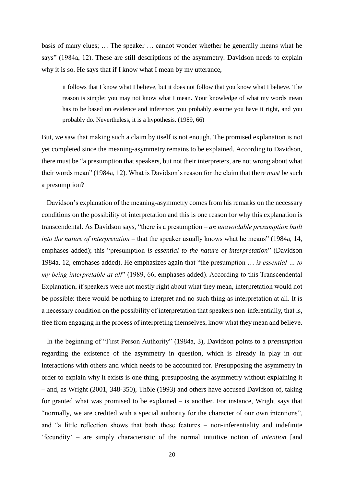basis of many clues; … The speaker … cannot wonder whether he generally means what he says" (1984a, 12). These are still descriptions of the asymmetry. Davidson needs to explain why it is so. He says that if I know what I mean by my utterance,

it follows that I know what I believe, but it does not follow that you know what I believe. The reason is simple: you may not know what I mean. Your knowledge of what my words mean has to be based on evidence and inference: you probably assume you have it right, and you probably do. Nevertheless, it is a hypothesis. (1989, 66)

But, we saw that making such a claim by itself is not enough. The promised explanation is not yet completed since the meaning-asymmetry remains to be explained. According to Davidson, there must be "a presumption that speakers, but not their interpreters, are not wrong about what their words mean" (1984a, 12). What is Davidson's reason for the claim that there *must* be such a presumption?

 Davidson's explanation of the meaning-asymmetry comes from his remarks on the necessary conditions on the possibility of interpretation and this is one reason for why this explanation is transcendental. As Davidson says, "there is a presumption – *an unavoidable presumption built into the nature of interpretation* – that the speaker usually knows what he means" (1984a, 14, emphases added); this "presumption *is essential to the nature of interpretation*" (Davidson 1984a, 12, emphases added). He emphasizes again that "the presumption … *is essential … to my being interpretable at all*" (1989, 66, emphases added). According to this Transcendental Explanation, if speakers were not mostly right about what they mean, interpretation would not be possible: there would be nothing to interpret and no such thing as interpretation at all. It is a necessary condition on the possibility of interpretation that speakers non-inferentially, that is, free from engaging in the process of interpreting themselves, know what they mean and believe.

 In the beginning of "First Person Authority" (1984a, 3), Davidson points to a *presumption* regarding the existence of the asymmetry in question, which is already in play in our interactions with others and which needs to be accounted for. Presupposing the asymmetry in order to explain why it exists is one thing, presupposing the asymmetry without explaining it – and, as Wright (2001, 348-350), Thöle (1993) and others have accused Davidson of, taking for granted what was promised to be explained – is another. For instance, Wright says that "normally, we are credited with a special authority for the character of our own intentions", and "a little reflection shows that both these features – non-inferentiality and indefinite 'fecundity' – are simply characteristic of the normal intuitive notion of *intention* [and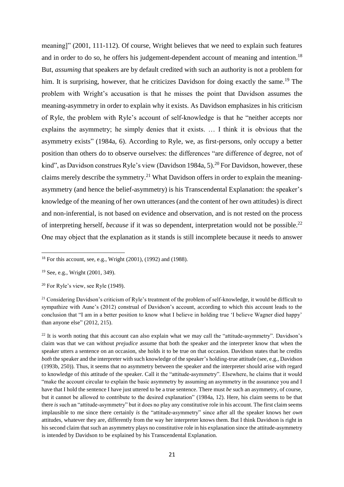meaning]" (2001, 111-112). Of course, Wright believes that we need to explain such features and in order to do so, he offers his judgement-dependent account of meaning and intention.<sup>18</sup> But, *assuming* that speakers are by default credited with such an authority is not a problem for him. It is surprising, however, that he criticizes Davidson for doing exactly the same.<sup>19</sup> The problem with Wright's accusation is that he misses the point that Davidson assumes the meaning-asymmetry in order to explain why it exists. As Davidson emphasizes in his criticism of Ryle, the problem with Ryle's account of self-knowledge is that he "neither accepts nor explains the asymmetry; he simply denies that it exists. … I think it is obvious that the asymmetry exists" (1984a, 6). According to Ryle, we, as first-persons, only occupy a better position than others do to observe ourselves: the differences "are difference of degree, not of kind", as Davidson construes Ryle's view (Davidson 1984a, 5).<sup>20</sup> For Davidson, however, these claims merely describe the symmetry.<sup>21</sup> What Davidson offers in order to explain the meaningasymmetry (and hence the belief-asymmetry) is his Transcendental Explanation: the speaker's knowledge of the meaning of her own utterances (and the content of her own attitudes) is direct and non-inferential, is not based on evidence and observation, and is not rested on the process of interpreting herself, *because* if it was so dependent, interpretation would not be possible.<sup>22</sup> One may object that the explanation as it stands is still incomplete because it needs to answer

1

<sup>22</sup> It is worth noting that this account can also explain what we may call the "attitude-asymmetry". Davidson's claim was that we can without *prejudice* assume that both the speaker and the interpreter know that when the speaker utters a sentence on an occasion, she holds it to be true on that occasion. Davidson states that he credits *both* the speaker and the interpreter with such knowledge of the speaker's holding-true attitude (see, e.g., Davidson (1993b, 250)). Thus, it seems that no asymmetry between the speaker and the interpreter should arise with regard to knowledge of this attitude of the speaker. Call it the "attitude-asymmetry". Elsewhere, he claims that it would "make the account circular to explain the basic asymmetry by assuming an asymmetry in the assurance you and I have that I hold the sentence I have just uttered to be a true sentence. There must *be* such an asymmetry, of course, but it cannot be allowed to contribute to the desired explanation" (1984a, 12). Here, his claim seems to be that there *is* such an "attitude-asymmetry" but it does no play any constitutive role in his account. The first claim seems implausible to me since there certainly *is* the "attitude-asymmetry" since after all the speaker knows her *own* attitudes, whatever they are, differently from the way her interpreter knows them. But I think Davidson is right in his second claim that such an asymmetry plays no constitutive role in his explanation since the attitude-asymmetry is intended by Davidson to be explained by his Transcendental Explanation.

<sup>18</sup> For this account, see, e.g., Wright (2001), (1992) and (1988).

<sup>19</sup> See, e.g., Wright (2001, 349).

 $20$  For Ryle's view, see Ryle (1949).

<sup>&</sup>lt;sup>21</sup> Considering Davidson's criticism of Ryle's treatment of the problem of self-knowledge, it would be difficult to sympathize with Aune's (2012) construal of Davidson's account, according to which this account leads to the conclusion that "I am in a better position to know what I believe in holding true 'I believe Wagner died happy' than anyone else" (2012, 215).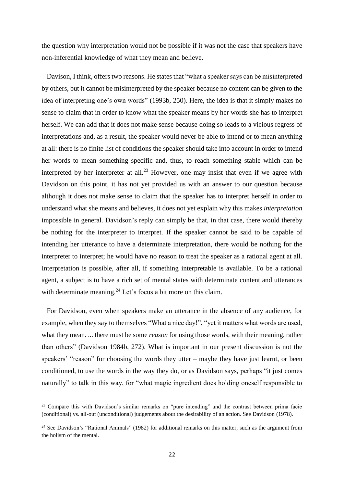the question why interpretation would not be possible if it was not the case that speakers have non-inferential knowledge of what they mean and believe.

 Davison, I think, offers two reasons. He states that "what a speaker says can be misinterpreted by others, but it cannot be misinterpreted by the speaker because no content can be given to the idea of interpreting one's own words" (1993b, 250). Here, the idea is that it simply makes no sense to claim that in order to know what the speaker means by her words she has to interpret herself. We can add that it does not make sense because doing so leads to a vicious regress of interpretations and, as a result, the speaker would never be able to intend or to mean anything at all: there is no finite list of conditions the speaker should take into account in order to intend her words to mean something specific and, thus, to reach something stable which can be interpreted by her interpreter at all.<sup>23</sup> However, one may insist that even if we agree with Davidson on this point, it has not yet provided us with an answer to our question because although it does not make sense to claim that the speaker has to interpret herself in order to understand what she means and believes, it does not yet explain why this makes *interpretation* impossible in general. Davidson's reply can simply be that, in that case, there would thereby be nothing for the interpreter to interpret. If the speaker cannot be said to be capable of intending her utterance to have a determinate interpretation, there would be nothing for the interpreter to interpret; he would have no reason to treat the speaker as a rational agent at all. Interpretation is possible, after all, if something interpretable is available. To be a rational agent, a subject is to have a rich set of mental states with determinate content and utterances with determinate meaning.<sup>24</sup> Let's focus a bit more on this claim.

 For Davidson, even when speakers make an utterance in the absence of any audience, for example, when they say to themselves "What a nice day!", "yet it matters what words are used, what they mean. ... there must be some *reason* for using those words, with their meaning, rather than others" (Davidson 1984b, 272). What is important in our present discussion is not the speakers' "reason" for choosing the words they utter – maybe they have just learnt, or been conditioned, to use the words in the way they do, or as Davidson says, perhaps "it just comes naturally" to talk in this way, for "what magic ingredient does holding oneself responsible to

<sup>&</sup>lt;sup>23</sup> Compare this with Davidson's similar remarks on "pure intending" and the contrast between prima facie (conditional) vs. all-out (unconditional) judgements about the desirability of an action. See Davidson (1978).

<sup>&</sup>lt;sup>24</sup> See Davidson's "Rational Animals" (1982) for additional remarks on this matter, such as the argument from the holism of the mental.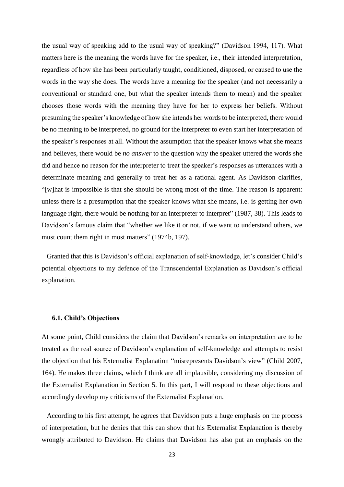the usual way of speaking add to the usual way of speaking?" (Davidson 1994, 117). What matters here is the meaning the words have for the speaker, i.e., their intended interpretation, regardless of how she has been particularly taught, conditioned, disposed, or caused to use the words in the way she does. The words have a meaning for the speaker (and not necessarily a conventional or standard one, but what the speaker intends them to mean) and the speaker chooses those words with the meaning they have for her to express her beliefs. Without presuming the speaker's knowledge of how she intends her words to be interpreted, there would be no meaning to be interpreted, no ground for the interpreter to even start her interpretation of the speaker's responses at all. Without the assumption that the speaker knows what she means and believes, there would be *no answer* to the question why the speaker uttered the words she did and hence no reason for the interpreter to treat the speaker's responses as utterances with a determinate meaning and generally to treat her as a rational agent. As Davidson clarifies, "[w]hat is impossible is that she should be wrong most of the time. The reason is apparent: unless there is a presumption that the speaker knows what she means, i.e. is getting her own language right, there would be nothing for an interpreter to interpret" (1987, 38). This leads to Davidson's famous claim that "whether we like it or not, if we want to understand others, we must count them right in most matters" (1974b, 197).

 Granted that this is Davidson's official explanation of self-knowledge, let's consider Child's potential objections to my defence of the Transcendental Explanation as Davidson's official explanation.

#### **6.1. Child's Objections**

At some point, Child considers the claim that Davidson's remarks on interpretation are to be treated as the real source of Davidson's explanation of self-knowledge and attempts to resist the objection that his Externalist Explanation "misrepresents Davidson's view" (Child 2007, 164). He makes three claims, which I think are all implausible, considering my discussion of the Externalist Explanation in Section 5. In this part, I will respond to these objections and accordingly develop my criticisms of the Externalist Explanation.

 According to his first attempt, he agrees that Davidson puts a huge emphasis on the process of interpretation, but he denies that this can show that his Externalist Explanation is thereby wrongly attributed to Davidson. He claims that Davidson has also put an emphasis on the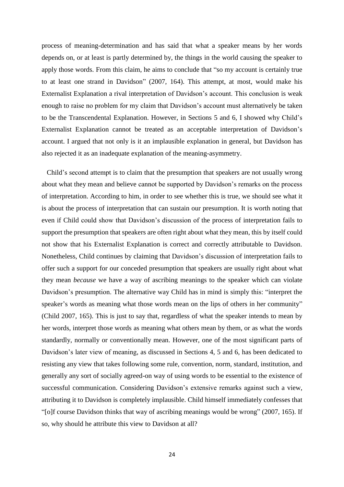process of meaning-determination and has said that what a speaker means by her words depends on, or at least is partly determined by, the things in the world causing the speaker to apply those words. From this claim, he aims to conclude that "so my account is certainly true to at least one strand in Davidson" (2007, 164). This attempt, at most, would make his Externalist Explanation a rival interpretation of Davidson's account. This conclusion is weak enough to raise no problem for my claim that Davidson's account must alternatively be taken to be the Transcendental Explanation. However, in Sections 5 and 6, I showed why Child's Externalist Explanation cannot be treated as an acceptable interpretation of Davidson's account. I argued that not only is it an implausible explanation in general, but Davidson has also rejected it as an inadequate explanation of the meaning-asymmetry.

 Child's second attempt is to claim that the presumption that speakers are not usually wrong about what they mean and believe cannot be supported by Davidson's remarks on the process of interpretation. According to him, in order to see whether this is true, we should see what it is about the process of interpretation that can sustain our presumption. It is worth noting that even if Child could show that Davidson's discussion of the process of interpretation fails to support the presumption that speakers are often right about what they mean, this by itself could not show that his Externalist Explanation is correct and correctly attributable to Davidson. Nonetheless, Child continues by claiming that Davidson's discussion of interpretation fails to offer such a support for our conceded presumption that speakers are usually right about what they mean *because* we have a way of ascribing meanings to the speaker which can violate Davidson's presumption. The alternative way Child has in mind is simply this: "interpret the speaker's words as meaning what those words mean on the lips of others in her community" (Child 2007, 165). This is just to say that, regardless of what the speaker intends to mean by her words, interpret those words as meaning what others mean by them, or as what the words standardly, normally or conventionally mean. However, one of the most significant parts of Davidson's later view of meaning, as discussed in Sections 4, 5 and 6, has been dedicated to resisting any view that takes following some rule, convention, norm, standard, institution, and generally any sort of socially agreed-on way of using words to be essential to the existence of successful communication. Considering Davidson's extensive remarks against such a view, attributing it to Davidson is completely implausible. Child himself immediately confesses that "[o]f course Davidson thinks that way of ascribing meanings would be wrong" (2007, 165). If so, why should he attribute this view to Davidson at all?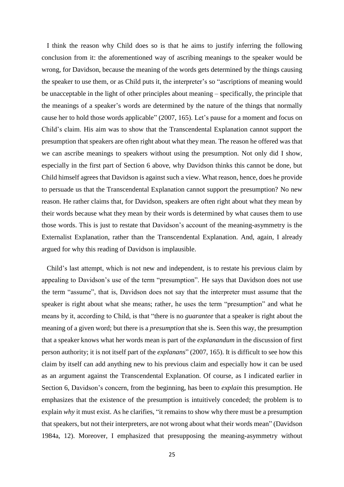I think the reason why Child does so is that he aims to justify inferring the following conclusion from it: the aforementioned way of ascribing meanings to the speaker would be wrong, for Davidson, because the meaning of the words gets determined by the things causing the speaker to use them, or as Child puts it, the interpreter's so "ascriptions of meaning would be unacceptable in the light of other principles about meaning – specifically, the principle that the meanings of a speaker's words are determined by the nature of the things that normally cause her to hold those words applicable" (2007, 165). Let's pause for a moment and focus on Child's claim. His aim was to show that the Transcendental Explanation cannot support the presumption that speakers are often right about what they mean. The reason he offered was that we can ascribe meanings to speakers without using the presumption. Not only did I show, especially in the first part of Section 6 above, why Davidson thinks this cannot be done, but Child himself agrees that Davidson is against such a view. What reason, hence, does he provide to persuade us that the Transcendental Explanation cannot support the presumption? No new reason. He rather claims that, for Davidson, speakers are often right about what they mean by their words because what they mean by their words is determined by what causes them to use those words. This is just to restate that Davidson's account of the meaning-asymmetry is the Externalist Explanation, rather than the Transcendental Explanation. And, again, I already argued for why this reading of Davidson is implausible.

 Child's last attempt, which is not new and independent, is to restate his previous claim by appealing to Davidson's use of the term "presumption". He says that Davidson does not use the term "assume", that is, Davidson does not say that the interpreter must assume that the speaker is right about what she means; rather, he uses the term "presumption" and what he means by it, according to Child, is that "there is no *guarantee* that a speaker is right about the meaning of a given word; but there is a *presumption* that she is. Seen this way, the presumption that a speaker knows what her words mean is part of the *explanandum* in the discussion of first person authority; it is not itself part of the *explanans*" (2007, 165). It is difficult to see how this claim by itself can add anything new to his previous claim and especially how it can be used as an argument against the Transcendental Explanation. Of course, as I indicated earlier in Section 6, Davidson's concern, from the beginning, has been to *explain* this presumption. He emphasizes that the existence of the presumption is intuitively conceded; the problem is to explain *why* it must exist. As he clarifies, "it remains to show why there must be a presumption that speakers, but not their interpreters, are not wrong about what their words mean" (Davidson 1984a, 12). Moreover, I emphasized that presupposing the meaning-asymmetry without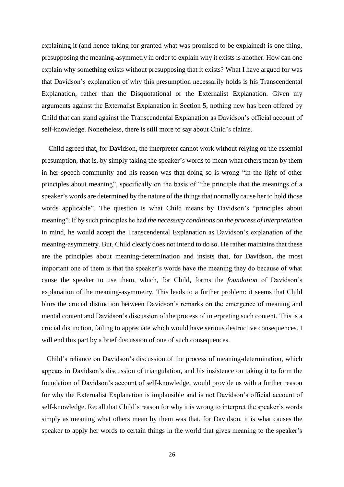explaining it (and hence taking for granted what was promised to be explained) is one thing, presupposing the meaning-asymmetry in order to explain why it exists is another. How can one explain why something exists without presupposing that it exists? What I have argued for was that Davidson's explanation of why this presumption necessarily holds is his Transcendental Explanation, rather than the Disquotational or the Externalist Explanation. Given my arguments against the Externalist Explanation in Section 5, nothing new has been offered by Child that can stand against the Transcendental Explanation as Davidson's official account of self-knowledge. Nonetheless, there is still more to say about Child's claims.

 Child agreed that, for Davidson, the interpreter cannot work without relying on the essential presumption, that is, by simply taking the speaker's words to mean what others mean by them in her speech-community and his reason was that doing so is wrong "in the light of other principles about meaning", specifically on the basis of "the principle that the meanings of a speaker's words are determined by the nature of the things that normally cause her to hold those words applicable". The question is what Child means by Davidson's "principles about meaning". If by such principles he had *the necessary conditions on the process of interpretation* in mind, he would accept the Transcendental Explanation as Davidson's explanation of the meaning-asymmetry. But, Child clearly does not intend to do so. He rather maintains that these are the principles about meaning-determination and insists that, for Davidson, the most important one of them is that the speaker's words have the meaning they do because of what cause the speaker to use them, which, for Child, forms the *foundation* of Davidson's explanation of the meaning-asymmetry. This leads to a further problem: it seems that Child blurs the crucial distinction between Davidson's remarks on the emergence of meaning and mental content and Davidson's discussion of the process of interpreting such content. This is a crucial distinction, failing to appreciate which would have serious destructive consequences. I will end this part by a brief discussion of one of such consequences.

 Child's reliance on Davidson's discussion of the process of meaning-determination, which appears in Davidson's discussion of triangulation, and his insistence on taking it to form the foundation of Davidson's account of self-knowledge, would provide us with a further reason for why the Externalist Explanation is implausible and is not Davidson's official account of self-knowledge. Recall that Child's reason for why it is wrong to interpret the speaker's words simply as meaning what others mean by them was that, for Davidson, it is what causes the speaker to apply her words to certain things in the world that gives meaning to the speaker's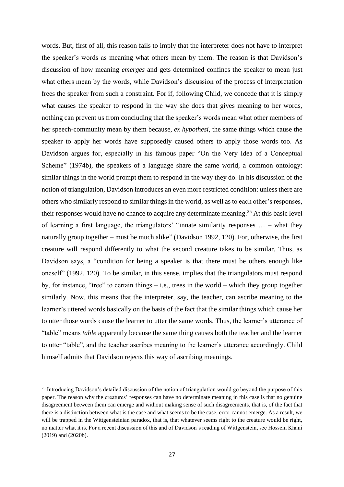words. But, first of all, this reason fails to imply that the interpreter does not have to interpret the speaker's words as meaning what others mean by them. The reason is that Davidson's discussion of how meaning *emerges* and gets determined confines the speaker to mean just what others mean by the words, while Davidson's discussion of the process of interpretation frees the speaker from such a constraint. For if, following Child, we concede that it is simply what causes the speaker to respond in the way she does that gives meaning to her words, nothing can prevent us from concluding that the speaker's words mean what other members of her speech-community mean by them because, *ex hypothesi*, the same things which cause the speaker to apply her words have supposedly caused others to apply those words too. As Davidson argues for, especially in his famous paper "On the Very Idea of a Conceptual Scheme" (1974b), the speakers of a language share the same world, a common ontology: similar things in the world prompt them to respond in the way they do. In his discussion of the notion of triangulation, Davidson introduces an even more restricted condition: unless there are others who similarly respond to similar things in the world, as well as to each other's responses, their responses would have no chance to acquire any determinate meaning.<sup>25</sup> At this basic level of learning a first language, the triangulators' "innate similarity responses … – what they naturally group together – must be much alike" (Davidson 1992, 120). For, otherwise, the first creature will respond differently to what the second creature takes to be similar. Thus, as Davidson says, a "condition for being a speaker is that there must be others enough like oneself" (1992, 120). To be similar, in this sense, implies that the triangulators must respond by, for instance, "tree" to certain things – i.e., trees in the world – which they group together similarly. Now, this means that the interpreter, say, the teacher, can ascribe meaning to the learner's uttered words basically on the basis of the fact that the similar things which cause her to utter those words cause the learner to utter the same words. Thus, the learner's utterance of "table" means *table* apparently because the same thing causes both the teacher and the learner to utter "table", and the teacher ascribes meaning to the learner's utterance accordingly. Child himself admits that Davidson rejects this way of ascribing meanings.

<sup>&</sup>lt;sup>25</sup> Introducing Davidson's detailed discussion of the notion of triangulation would go beyond the purpose of this paper. The reason why the creatures' responses can have no determinate meaning in this case is that no genuine disagreement between them can emerge and without making sense of such disagreements, that is, of the fact that there is a distinction between what is the case and what seems to be the case, error cannot emerge. As a result, we will be trapped in the Wittgensteinian paradox, that is, that whatever seems right to the creature would be right, no matter what it is. For a recent discussion of this and of Davidson's reading of Wittgenstein, see Hossein Khani (2019) and (2020b).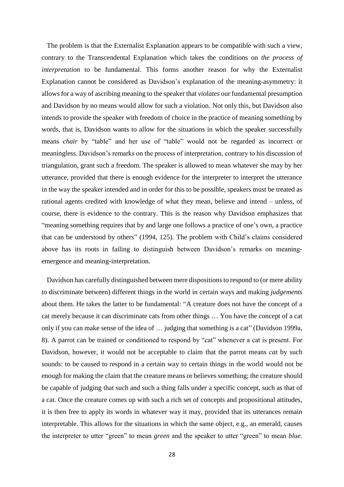The problem is that the Externalist Explanation appears to be compatible with such a view, contrary to the Transcendental Explanation which takes the conditions on *the process of interpretation* to be fundamental. This forms another reason for why the Externalist Explanation cannot be considered as Davidson's explanation of the meaning-asymmetry: it allows for a way of ascribing meaning to the speaker that *violates* our fundamental presumption and Davidson by no means would allow for such a violation. Not only this, but Davidson also intends to provide the speaker with freedom of choice in the practice of meaning something by words, that is, Davidson wants to allow for the situations in which the speaker successfully means *chair* by "table" and her use of "table" would not be regarded as incorrect or meaningless. Davidson's remarks on the process of interpretation, contrary to his discussion of triangulation, grant such a freedom. The speaker is allowed to mean whatever she may by her utterance, provided that there is enough evidence for the interpreter to interpret the utterance in the way the speaker intended and in order for this to be possible, speakers must be treated as rational agents credited with knowledge of what they mean, believe and intend – unless, of course, there is evidence to the contrary. This is the reason why Davidson emphasizes that "meaning something requires that by and large one follows a practice of one's own, a practice that can be understood by others" (1994, 125). The problem with Child's claims considered above has its roots in failing to distinguish between Davidson's remarks on meaningemergence and meaning-interpretation.

Davidson has carefully distinguished between mere dispositions to respond to (or mere ability to discriminate between) different things in the world in certain ways and making *judgements* about them. He takes the latter to be fundamental: "A creature does not have the concept of a cat merely because it can discriminate cats from other things … You have the concept of a cat only if you can make sense of the idea of … judging that something is a cat" (Davidson 1999a, 8). A parrot can be trained or conditioned to respond by "cat" whenever a cat is present. For Davidson, however, it would not be acceptable to claim that the parrot means *cat* by such sounds: to be caused to respond in a certain way to certain things in the world would not be enough for making the claim that the creature means or believes something; the creature should be capable of judging that such and such a thing falls under a specific concept, such as that of a cat. Once the creature comes up with such a rich set of concepts and propositional attitudes, it is then free to apply its words in whatever way it may, provided that its utterances remain interpretable. This allows for the situations in which the same object, e.g., an emerald, causes the interpreter to utter "green" to mean *green* and the speaker to utter "green" to mean *blue*.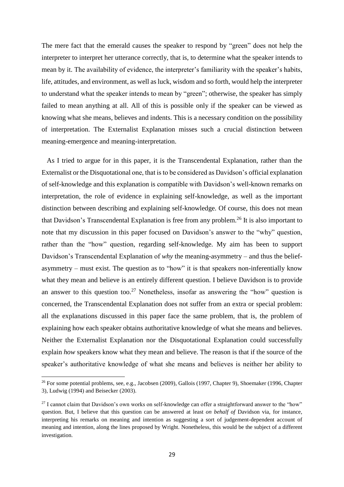The mere fact that the emerald causes the speaker to respond by "green" does not help the interpreter to interpret her utterance correctly, that is, to determine what the speaker intends to mean by it. The availability of evidence, the interpreter's familiarity with the speaker's habits, life, attitudes, and environment, as well as luck, wisdom and so forth, would help the interpreter to understand what the speaker intends to mean by "green"; otherwise, the speaker has simply failed to mean anything at all. All of this is possible only if the speaker can be viewed as knowing what she means, believes and indents. This is a necessary condition on the possibility of interpretation. The Externalist Explanation misses such a crucial distinction between meaning-emergence and meaning-interpretation.

 As I tried to argue for in this paper, it is the Transcendental Explanation, rather than the Externalist or the Disquotational one, that is to be considered as Davidson's official explanation of self-knowledge and this explanation is compatible with Davidson's well-known remarks on interpretation, the role of evidence in explaining self-knowledge, as well as the important distinction between describing and explaining self-knowledge. Of course, this does not mean that Davidson's Transcendental Explanation is free from any problem.<sup>26</sup> It is also important to note that my discussion in this paper focused on Davidson's answer to the "why" question, rather than the "how" question, regarding self-knowledge. My aim has been to support Davidson's Transcendental Explanation of *why* the meaning-asymmetry – and thus the beliefasymmetry – must exist. The question as to "how" it is that speakers non-inferentially know what they mean and believe is an entirely different question. I believe Davidson is to provide an answer to this question too.<sup>27</sup> Nonetheless, insofar as answering the "how" question is concerned, the Transcendental Explanation does not suffer from an extra or special problem: all the explanations discussed in this paper face the same problem, that is, the problem of explaining how each speaker obtains authoritative knowledge of what she means and believes. Neither the Externalist Explanation nor the Disquotational Explanation could successfully explain *how* speakers know what they mean and believe. The reason is that if the source of the speaker's authoritative knowledge of what she means and believes is neither her ability to

1

<sup>&</sup>lt;sup>26</sup> For some potential problems, see, e.g., Jacobsen (2009), Gallois (1997, Chapter 9), Shoemaker (1996, Chapter 3), Ludwig (1994) and Beisecker (2003).

<sup>&</sup>lt;sup>27</sup> I cannot claim that Davidson's own works on self-knowledge can offer a straightforward answer to the "how" question. But, I believe that this question can be answered at least *on behalf of* Davidson via, for instance, interpreting his remarks on meaning and intention as suggesting a sort of judgement-dependent account of meaning and intention, along the lines proposed by Wright. Nonetheless, this would be the subject of a different investigation.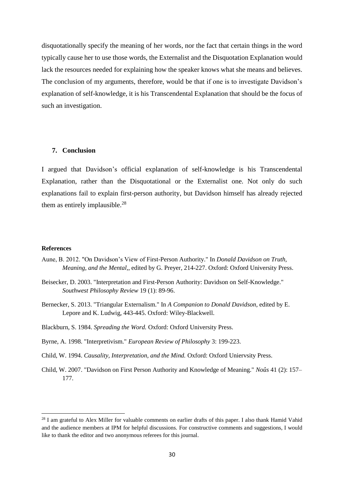disquotationally specify the meaning of her words, nor the fact that certain things in the word typically cause her to use those words, the Externalist and the Disquotation Explanation would lack the resources needed for explaining how the speaker knows what she means and believes. The conclusion of my arguments, therefore, would be that if one is to investigate Davidson's explanation of self-knowledge, it is his Transcendental Explanation that should be the focus of such an investigation.

# **7. Conclusion**

I argued that Davidson's official explanation of self-knowledge is his Transcendental Explanation, rather than the Disquotational or the Externalist one. Not only do such explanations fail to explain first-person authority, but Davidson himself has already rejected them as entirely implausible.<sup>28</sup>

#### **References**

- Aune, B. 2012. "On Davidson's View of First-Person Authority." In *Donald Davidson on Truth, Meaning, and the Mental,*, edited by G. Preyer, 214-227. Oxford: Oxford University Press.
- Beisecker, D. 2003. "Interpretation and First-Person Authority: Davidson on Self-Knowledge." *Southwest Philosophy Review* 19 (1): 89-96.
- Bernecker, S. 2013. "Triangular Externalism." In *A Companion to Donald Davidson*, edited by E. Lepore and K. Ludwig, 443-445. Oxford: Wiley-Blackwell.
- Blackburn, S. 1984. *Spreading the Word.* Oxford: Oxford University Press.
- Byrne, A. 1998. "Interpretivism." *European Review of Philosophy* 3: 199-223.
- Child, W. 1994. *Causality, Interpretation, and the Mind.* Oxford: Oxford Uniervsity Press.
- Child, W. 2007. "Davidson on First Person Authority and Knowledge of Meaning." *Noûs* 41 (2): 157– 177.

<sup>&</sup>lt;sup>28</sup> I am grateful to Alex Miller for valuable comments on earlier drafts of this paper. I also thank Hamid Vahid and the audience members at IPM for helpful discussions. For constructive comments and suggestions, I would like to thank the editor and two anonymous referees for this journal.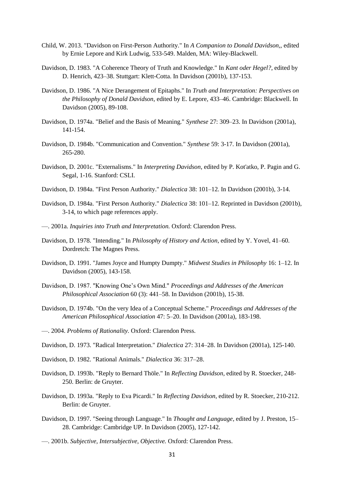- Child, W. 2013. "Davidson on First-Person Authority." In *A Companion to Donald Davidson,*, edited by Ernie Lepore and Kirk Ludwig, 533-549. Malden, MA: Wiley-Blackwell.
- Davidson, D. 1983. "A Coherence Theory of Truth and Knowledge." In *Kant oder Hegel?*, edited by D. Henrich, 423–38. Stuttgart: Klett-Cotta. In Davidson (2001b), 137-153.
- Davidson, D. 1986. "A Nice Derangement of Epitaphs." In *Truth and Interpretation: Perspectives on the Philosophy of Donald Davidson*, edited by E. Lepore, 433–46. Cambridge: Blackwell. In Davidson (2005), 89-108.
- Davidson, D. 1974a. "Belief and the Basis of Meaning." *Synthese* 27: 309–23. In Davidson (2001a), 141-154.
- Davidson, D. 1984b. "Communication and Convention." *Synthese* 59: 3-17. In Davidson (2001a), 265-280.
- Davidson, D. 2001c. "Externalisms." In *Interpreting Davidson*, edited by P. Kot'atko, P. Pagin and G. Segal, 1-16. Stanford: CSLI.
- Davidson, D. 1984a. "First Person Authority." *Dialectica* 38: 101–12. In Davidson (2001b), 3-14.
- Davidson, D. 1984a. "First Person Authority." *Dialectica* 38: 101–12. Reprinted in Davidson (2001b), 3-14, to which page references apply.
- —. 2001a. *Inquiries into Truth and Interpretation.* Oxford: Clarendon Press.
- Davidson, D. 1978. "Intending." In *Philosophy of History and Action*, edited by Y. Yovel, 41–60. Dordretch: The Magnes Press.
- Davidson, D. 1991. "James Joyce and Humpty Dumpty." *Midwest Studies in Philosophy* 16: 1–12. In Davidson (2005), 143-158.
- Davidson, D. 1987. "Knowing One's Own Mind." *Proceedings and Addresses of the American Philosophical Association* 60 (3): 441–58. In Davidson (2001b), 15-38.
- Davidson, D. 1974b. "On the very Idea of a Conceptual Scheme." *Proceedings and Addresses of the American Philosophical Association* 47: 5–20. In Davidson (2001a), 183-198.
- —. 2004. *Problems of Rationality.* Oxford: Clarendon Press.
- Davidson, D. 1973. "Radical Interpretation." *Dialectica* 27: 314–28. In Davidson (2001a), 125-140.
- Davidson, D. 1982. "Rational Animals." *Dialectica* 36: 317–28.
- Davidson, D. 1993b. "Reply to Bernard Thöle." In *Reflecting Davidson*, edited by R. Stoecker, 248- 250. Berlin: de Gruyter.
- Davidson, D. 1993a. "Reply to Eva Picardi." In *Reflecting Davidson*, edited by R. Stoecker, 210-212. Berlin: de Gruyter.
- Davidson, D. 1997. "Seeing through Language." In *Thought and Language*, edited by J. Preston, 15– 28. Cambridge: Cambridge UP. In Davidson (2005), 127-142.
- —. 2001b. *Subjective, Intersubjective, Objective.* Oxford: Clarendon Press.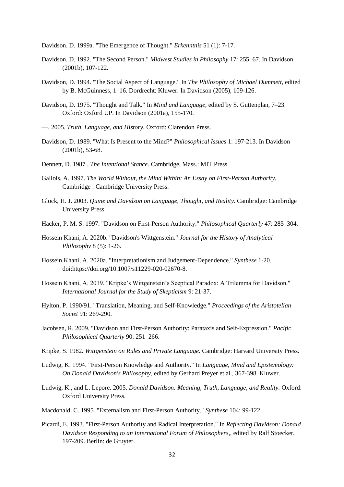Davidson, D. 1999a. "The Emergence of Thought." *Erkenntnis* 51 (1): 7-17.

- Davidson, D. 1992. "The Second Person." *Midwest Studies in Philosophy* 17: 255–67. In Davidson (2001b), 107-122.
- Davidson, D. 1994. "The Social Aspect of Language." In *The Philosophy of Michael Dummett*, edited by B. McGuinness, 1–16. Dordrecht: Kluwer. In Davidson (2005), 109-126.
- Davidson, D. 1975. "Thought and Talk." In *Mind and Language*, edited by S. Guttenplan, 7–23. Oxford: Oxford UP. In Davidson (2001a), 155-170.
- —. 2005. *Truth, Language, and History.* Oxford: Clarendon Press.
- Davidson, D. 1989. "What Is Present to the Mind?" *Philosophical Issues* 1: 197-213. In Davidson (2001b), 53-68.
- Dennett, D. 1987 . *The Intentional Stance.* Cambridge, Mass.: MIT Press.
- Gallois, A. 1997. *The World Without, the Mind Within: An Essay on First-Person Authority.* Cambridge : Cambridge University Press.
- Glock, H. J. 2003. *Quine and Davidson on Language, Thought, and Reality.* Cambridge: Cambridge University Press.
- Hacker, P. M. S. 1997. "Davidson on First-Person Authority." *Philosophical Quarterly* 47: 285–304.
- Hossein Khani, A. 2020b. "Davidson's Wittgenstein." *Journal for the History of Analytical Philosophy* 8 (5): 1-26.
- Hossein Khani, A. 2020a. "Interpretationism and Judgement-Dependence." *Synthese* 1-20. doi:https://doi.org/10.1007/s11229-020-02670-8.
- Hossein Khani, A. 2019. "Kripke's Wittgenstein's Sceptical Paradox: A Trilemma for Davidson." *International Journal for the Study of Skepticism* 9: 21-37.
- Hylton, P. 1990/91. "Translation, Meaning, and Self-Knowledge." *Proceedings of the Aristotelian Societ* 91: 269-290.
- Jacobsen, R. 2009. "Davidson and First-Person Authority: Parataxis and Self-Expression." *Pacific Philosophical Quarterly* 90: 251–266.
- Kripke, S. 1982. *Wittgenstein on Rules and Private Language.* Cambridge: Harvard University Press.
- Ludwig, K. 1994. "First-Person Knowledge and Authority." In *Language, Mind and Epistemology: On Donald Davidson's Philosophy*, edited by Gerhard Preyer et al., 367-398. Kluwer.
- Ludwig, K., and L. Lepore. 2005. *Donald Davidson: Meaning, Truth, Language, and Reality.* Oxford: Oxford University Press.
- Macdonald, C. 1995. "Externalism and First-Person Authority." *Synthese* 104: 99-122.
- Picardi, E. 1993. "First-Person Authority and Radical Interpretation." In *Reflecting Davidson: Donald Davidson Responding to an International Forum of Philosophers,*, edited by Ralf Stoecker, 197-209. Berlin: de Gruyter.